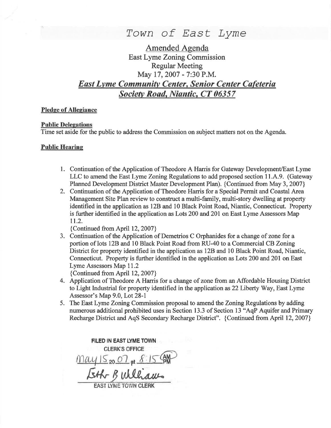

Amended Agenda East Lyme Zoning Commission Regular Meeting May 17,2007 - 7:30 P.M. East Lvme Communitv Center, Senior Center Cafeteria Societv Road, Niantic, CT 06357

#### Pledge of Allegiance

#### **Public Delegations**

Time set aside for the public to address the Commission on subject matters not on the Agenda.

#### Public Hearine

- 1. Continuation of the Application of Theodore A Harris for Gateway Development/East Lyme LLC to amend the East Lyme Zoning Regulations to add proposed section 11.A.9. (Gateway Planned Development District Master Development Plan). {Continued from May 3, 2007}
- 2. Continuation of the Application of Theodore Harris for a Special Permit and Coastal Area Management Site Plan review to construct a multi-family, multi-story dwelling at property identified in the application as 12B and l0 Black Point Road, Niantic, Connecticut. Property is further identified in the application as Lots 200 and 201 on East Lyme Assessors Map 11.2.

{Continued from April 12,2007}

3. Continuation of the Application of Demetrios C Orphanides for a change of zone for <sup>a</sup> portion of lots 12B and 10 Black Point Road from RU-40 to a Commercial CB Zoning District for property identified in the application as 128 and 10 Black Point Road, Niantic, Connecticut. Property is further identified in the application as Lots 200 and 201 on East Lyme Assessors Map 11.2

{Continued from April 12,2007}

- 4. Application of Theodore A Harris for a change of zone from an Aflordable Housing District to Light Industrial for property identified in the application as 22 Liberty Way, East Lyme Assessor's Map 9.0, Lot 28-1
- 5. The East Lyme Zoning Commission proposal to amend the Zoning Regulations by adding numerous additional prohibited uses in Section 13.3 of Section l3 "AqP Aquifer and Primary Recharge District and AqS Secondary Recharge District". {Continued from April 12, 2007}

FILED IN EAST LYME TOWN **CLERK'S OFFICE**  $\frac{May15_{20}07_{gt}8.1560}{5465}$ **FAST LYME TOWN CLERK**